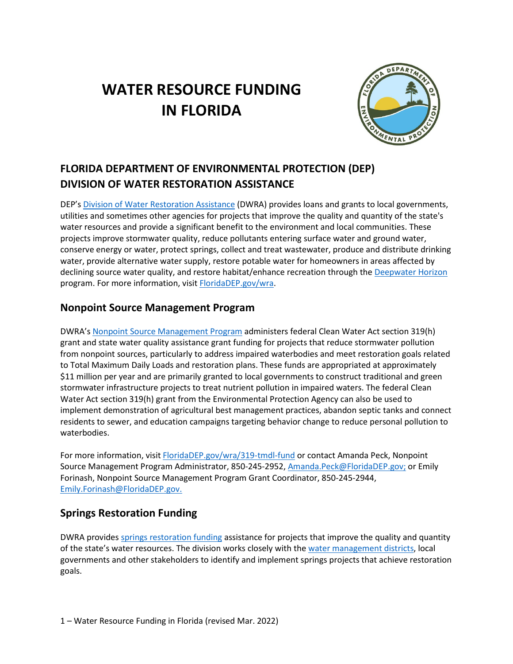# **WATER RESOURCE FUNDING IN FLORIDA**



# **FLORIDA DEPARTMENT OF ENVIRONMENTAL PROTECTION (DEP) DIVISION OF WATER RESTORATION ASSISTANCE**

DEP's [Division of Water Restoration Assistance](https://floridadep.gov/wra) (DWRA) provides loans and grants to local governments, utilities and sometimes other agencies for projects that improve the quality and quantity of the state's water resources and provide a significant benefit to the environment and local communities. These projects improve stormwater quality, reduce pollutants entering surface water and ground water, conserve energy or water, protect springs, collect and treat wastewater, produce and distribute drinking water, provide alternative water supply, restore potable water for homeowners in areas affected by declining source water quality, and restore habitat/enhance recreation through the [Deepwater Horizon](https://floridadep.gov/wra/deepwater-horizon) program. For more information, visit [FloridaDEP.gov/wra.](https://floridadep.gov/wra)

#### **Nonpoint Source Management Program**

DWRA's [Nonpoint Source Management Program](https://floridadep.gov/wra/319-tmdl-fund) administers federal Clean Water Act section 319(h) grant and state water quality assistance grant funding for projects that reduce stormwater pollution from nonpoint sources, particularly to address impaired waterbodies and meet restoration goals related to Total Maximum Daily Loads and restoration plans. These funds are appropriated at approximately \$11 million per year and are primarily granted to local governments to construct traditional and green stormwater infrastructure projects to treat nutrient pollution in impaired waters. The federal Clean Water Act section 319(h) grant from the Environmental Protection Agency can also be used to implement demonstration of agricultural best management practices, abandon septic tanks and connect residents to sewer, and education campaigns targeting behavior change to reduce personal pollution to waterbodies.

For more information, visit [FloridaDEP.gov/wra/319-tmdl-fund](https://floridadep.gov/wra/319-tmdl-fund) or contact Amanda Peck, Nonpoint Source Management Program Administrator, 850-245-2952[, Amanda.Peck@FloridaDEP.gov;](mailto:Amanda.Peck@FloridaDEP.gov) or Emily Forinash, Nonpoint Source Management Program Grant Coordinator, 850-245-2944, [Emily.Forinash@FloridaDEP.gov.](mailto:Emily.Forinash@FloridaDEP.gov)

#### **Springs Restoration Funding**

DWRA provides [springs restoration funding](https://floridadep.gov/springs/restoration-funding) assistance for projects that improve the quality and quantity of the state's water resources. The division works closely with the [water management districts,](https://floridadep.gov/water-policy/water-policy/content/water-management-districts) local governments and other stakeholders to identify and implement springs projects that achieve restoration goals.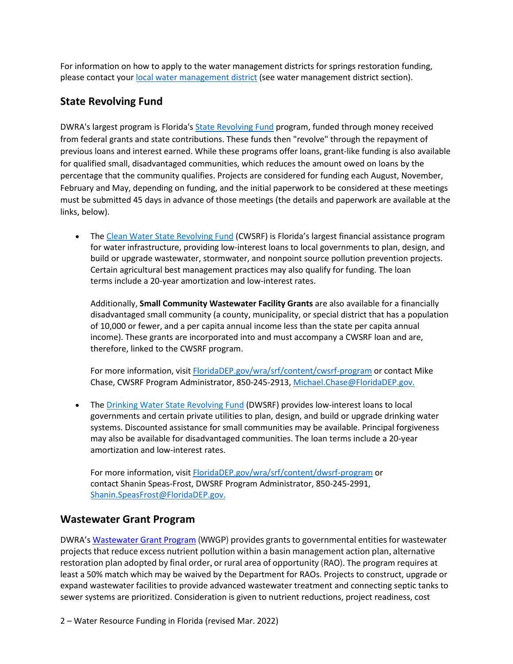For information on how to apply to the water management districts for springs restoration funding, please contact your [local water management district](https://floridadep.gov/water-policy/water-policy/content/water-management-districts) (see water management district section).

#### **State Revolving Fund**

DWRA's largest program is Florida's [State Revolving Fund](https://floridadep.gov/wra/srf) program, funded through money received from federal grants and state contributions. These funds then "revolve" through the repayment of previous loans and interest earned. While these programs offer loans, grant-like funding is also available for qualified small, disadvantaged communities, which reduces the amount owed on loans by the percentage that the community qualifies. Projects are considered for funding each August, November, February and May, depending on funding, and the initial paperwork to be considered at these meetings must be submitted 45 days in advance of those meetings (the details and paperwork are available at the links, below).

• The [Clean Water State Revolving Fund](https://floridadep.gov/wra/srf/content/cwsrf-program) (CWSRF) is Florida's largest financial assistance program for water infrastructure, providing low-interest loans to local governments to plan, design, and build or upgrade wastewater, stormwater, and nonpoint source pollution prevention projects. Certain agricultural best management practices may also qualify for funding. The loan terms include a 20-year amortization and low-interest rates.

Additionally, **Small Community Wastewater Facility Grants** are also available for a financially disadvantaged small community (a county, municipality, or special district that has a population of 10,000 or fewer, and a per capita annual income less than the state per capita annual income). These grants are incorporated into and must accompany a CWSRF loan and are, therefore, linked to the CWSRF program.

For more information, visit [FloridaDEP.gov/wra/srf/content/cwsrf-program](https://floridadep.gov/wra/srf/content/cwsrf-program) or contact Mike Chase, CWSRF Program Administrator, 850-245-2913, [Michael.Chase@FloridaDEP.gov.](mailto:Michael.Chase@FloridaDEP.gov)

• The [Drinking Water State Revolving Fund](https://floridadep.gov/wra/srf/content/dwsrf-program) (DWSRF) provides low-interest loans to local governments and certain private utilities to plan, design, and build or upgrade drinking water systems. Discounted assistance for small communities may be available. Principal forgiveness may also be available for disadvantaged communities. The loan terms include a 20-year amortization and low-interest rates.

For more information, visit [FloridaDEP.gov/wra/srf/content/dwsrf-program](https://floridadep.gov/wra/srf/content/dwsrf-program) or contact Shanin Speas-Frost, DWSRF Program Administrator, 850-245-2991, [Shanin.SpeasFrost@FloridaDEP.gov.](mailto:Shanin.SpeasFrost@FloridaDEP.gov)

#### **Wastewater Grant Program**

DWRA'[s Wastewater Grant Program](https://floridadep.gov/wra/wra/content/wastewater-grant-program) (WWGP) provides grants to governmental entities for wastewater projects that reduce excess nutrient pollution within a basin management action plan, alternative restoration plan adopted by final order, or rural area of opportunity (RAO). The program requires at least a 50% match which may be waived by the Department for RAOs. Projects to construct, upgrade or expand wastewater facilities to provide advanced wastewater treatment and connecting septic tanks to sewer systems are prioritized. Consideration is given to nutrient reductions, project readiness, cost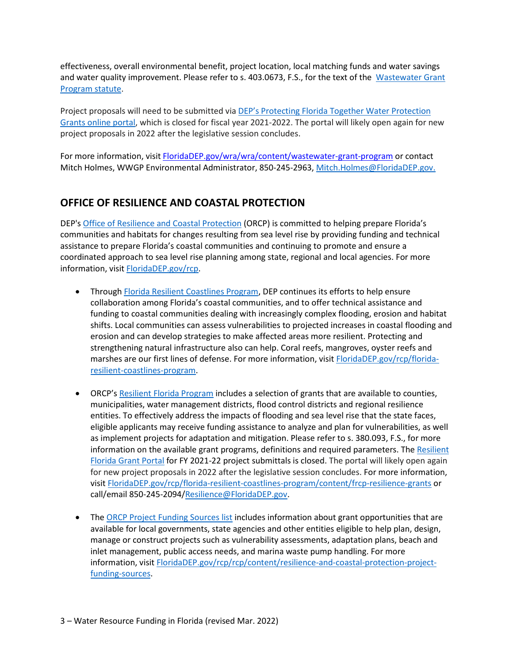effectiveness, overall environmental benefit, project location, local matching funds and water savings and water quality improvement. Please refer to s. 403.0673, F.S., for the text of the Wastewater Grant [Program statute.](http://www.leg.state.fl.us/statutes/index.cfm?App_mode=Display_Statute&Search_String=&URL=0400-0499/0403/Sections/0403.0673.html)

Project proposals will need to be submitted via [DEP's Protecting Florida Together Water Protection](https://protectingfloridatogether.gov/state-action/grants-submissions)  [Grants online portal,](https://protectingfloridatogether.gov/state-action/grants-submissions) which is closed for fiscal year 2021-2022. The portal will likely open again for new project proposals in 2022 after the legislative session concludes.

For more information, visi[t FloridaDEP.gov/wra/wra/content/wastewater-grant-program](https://floridadep.gov/wra/wra/content/wastewater-grant-program) or contact Mitch Holmes, WWGP Environmental Administrator, 850-245-2963, [Mitch.Holmes@FloridaDEP.gov.](mailto:Mitch.Holmes@FloridaDEP.gov)

# **OFFICE OF RESILIENCE AND COASTAL PROTECTION**

DEP's [Office of Resilience and Coastal Protection](https://floridadep.gov/RCP) (ORCP) is committed to helping prepare Florida's communities and habitats for changes resulting from sea level rise by providing funding and technical assistance to prepare Florida's coastal communities and continuing to promote and ensure a coordinated approach to sea level rise planning among state, regional and local agencies. For more information, visit **FloridaDEP.gov/rcp.** 

- Through [Florida Resilient Coastlines Program,](https://floridadep.gov/rcp/florida-resilient-coastlines-program) DEP continues its efforts to help ensure collaboration among Florida's coastal communities, and to offer technical assistance and funding to coastal communities dealing with increasingly complex flooding, erosion and habitat shifts. Local communities can assess vulnerabilities to projected increases in coastal flooding and erosion and can develop strategies to make affected areas more resilient. Protecting and strengthening natural infrastructure also can help. Coral reefs, mangroves, oyster reefs and marshes are our first lines of defense. For more information, visit [FloridaDEP.gov/rcp/florida](https://floridadep.gov/rcp/florida-resilient-coastlines-program)[resilient-coastlines-program.](https://floridadep.gov/rcp/florida-resilient-coastlines-program)
- ORCP's [Resilient Florida Program](https://floridadep.gov/RCP/Florida-Resilient-Coastlines-Program) includes a selection of grants that are available to counties, municipalities, water management districts, flood control districts and regional resilience entities. To effectively address the impacts of flooding and sea level rise that the state faces, eligible applicants may receive funding assistance to analyze and plan for vulnerabilities, as well as implement projects for adaptation and mitigation. Please refer to s. 380.093, F.S., for more information on the available grant programs, definitions and required parameters. The Resilient [Florida Grant Portal](https://floridadep.gov/rcp/florida-resilient-coastlines-program/content/resilient-florida-grants) for FY 2021-22 project submittals is closed. The portal will likely open again for new project proposals in 2022 after the legislative session concludes. For more information, visi[t FloridaDEP.gov/rcp/florida-resilient-coastlines-program/content/frcp-resilience-grants](https://floridadep.gov/rcp/florida-resilient-coastlines-program/content/frcp-resilience-grants) or call/email 850-245-2094[/Resilience@FloridaDEP.gov.](mailto:Resilience@FloridaDEP.gov)
- The [ORCP Project Funding Sources list](https://floridadep.gov/rcp/rcp/content/resilience-and-coastal-protection-project-funding-sources) includes information about grant opportunities that are available for local governments, state agencies and other entities eligible to help plan, design, manage or construct projects such as vulnerability assessments, adaptation plans, beach and inlet management, public access needs, and marina waste pump handling. For more information, visit **FloridaDEP.gov/rcp/rcp/content/resilience-and-coastal-protection-project**[funding-sources.](https://floridadep.gov/rcp/rcp/content/resilience-and-coastal-protection-project-funding-sources)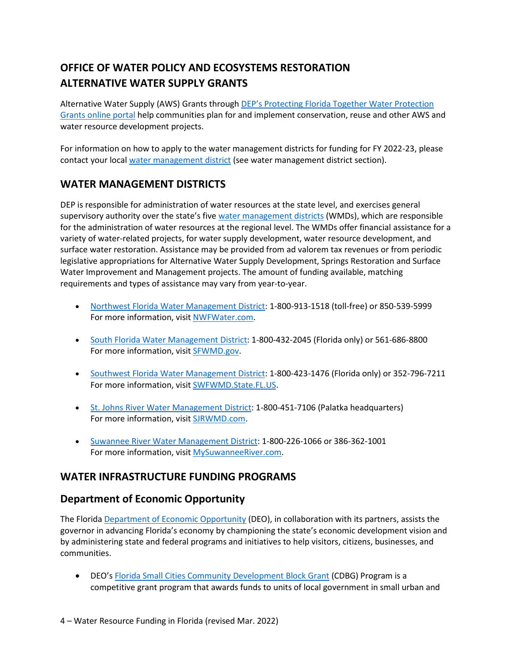# **OFFICE OF WATER POLICY AND ECOSYSTEMS RESTORATION ALTERNATIVE WATER SUPPLY GRANTS**

Alternative Water Supply (AWS) Grants through [DEP's Protecting Florida Together Water Protection](https://protectingfloridatogether.gov/state-action/grants-submissions)  [Grants online portal](https://protectingfloridatogether.gov/state-action/grants-submissions) help communities plan for and implement conservation, reuse and other AWS and water resource development projects.

For information on how to apply to the water management districts for funding for FY 2022-23, please contact your local [water management district](https://floridadep.gov/water-policy/water-policy/content/water-management-districts) (see water management district section).

#### **WATER MANAGEMENT DISTRICTS**

DEP is responsible for administration of water resources at the state level, and exercises general supervisory authority over the state's fiv[e water management districts](https://floridadep.gov/water-policy/water-policy/content/water-management-districts) (WMDs), which are responsible for the administration of water resources at the regional level. The WMDs offer financial assistance for a variety of water-related projects, for water supply development, water resource development, and surface water restoration. Assistance may be provided from ad valorem tax revenues or from periodic legislative appropriations for Alternative Water Supply Development, Springs Restoration and Surface Water Improvement and Management projects. The amount of funding available, matching requirements and types of assistance may vary from year-to-year.

- [Northwest Florida Water Management District:](https://www.nwfwater.com/) 1-800-913-1518 (toll-free) or 850-539-5999 For more information, visi[t NWFWater.com.](https://www.nwfwater.com/)
- [South Florida Water Management District:](https://www.sfwmd.gov/) 1-800-432-2045 (Florida only) or 561-686-8800 For more information, visit [SFWMD.gov.](http://www.sfwmd.gov/)
- [Southwest Florida Water Management District:](http://www.swfwmd.state.fl.us/) 1-800-423-1476 (Florida only) or 352-796-7211 For more information, visi[t SWFWMD.State.FL.US.](https://www.swfwmd.state.fl.us/)
- [St. Johns River Water Management District:](http://www.sjrwmd.com/) 1-800-451-7106 (Palatka headquarters) For more information, visit [SJRWMD.com.](https://www.sjrwmd.com/)
- [Suwannee River Water Management District:](http://www.srwmd.state.fl.us/) 1-800-226-1066 or 386-362-1001 For more information, visi[t MySuwanneeRiver.com.](https://www.mysuwanneeriver.com/)

#### **WATER INFRASTRUCTURE FUNDING PROGRAMS**

#### **Department of Economic Opportunity**

The Florid[a Department of Economic Opportunity](https://floridajobs.org/) (DEO), in collaboration with its partners, assists the governor in advancing Florida's economy by championing the state's economic development vision and by administering state and federal programs and initiatives to help visitors, citizens, businesses, and communities.

• DEO's [Florida Small Cities Community Development Block Grant](https://floridajobs.org/community-planning-and-development/assistance-for-governments-and-organizations/florida-small-cities-community-development-block-grant-program) (CDBG) Program is a competitive grant program that awards funds to units of local government in small urban and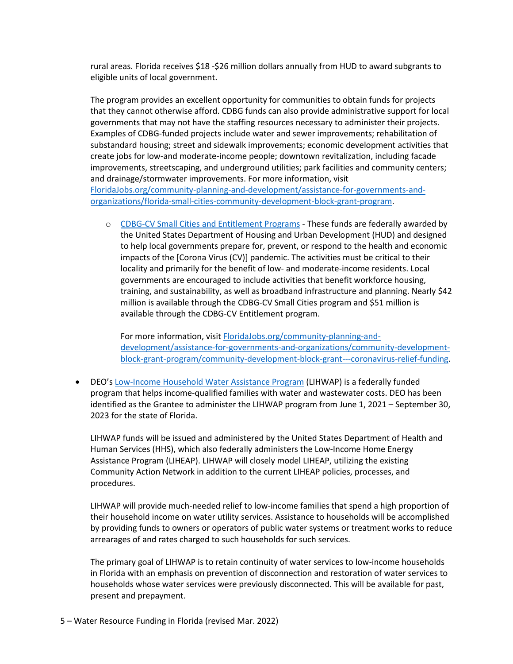rural areas. Florida receives \$18 -\$26 million dollars annually from HUD to award subgrants to eligible units of local government.

The program provides an excellent opportunity for communities to obtain funds for projects that they cannot otherwise afford. CDBG funds can also provide administrative support for local governments that may not have the staffing resources necessary to administer their projects. Examples of CDBG-funded projects include water and sewer improvements; rehabilitation of substandard housing; street and sidewalk improvements; economic development activities that create jobs for low-and moderate-income people; downtown revitalization, including facade improvements, streetscaping, and underground utilities; park facilities and community centers; and drainage/stormwater improvements. For more information, visit [FloridaJobs.org/community-planning-and-development/assistance-for-governments-and](https://floridajobs.org/community-planning-and-development/assistance-for-governments-and-organizations/florida-small-cities-community-development-block-grant-program)[organizations/florida-small-cities-community-development-block-grant-program.](https://floridajobs.org/community-planning-and-development/assistance-for-governments-and-organizations/florida-small-cities-community-development-block-grant-program)

o [CDBG-CV Small Cities and Entitlement Programs -](https://www.floridajobs.org/community-planning-and-development/assistance-for-governments-and-organizations/community-development-block-grant-program/community-development-block-grant---coronavirus-relief-funding) These funds are federally awarded by the United States Department of Housing and Urban Development (HUD) and designed to help local governments prepare for, prevent, or respond to the health and economic impacts of the [Corona Virus (CV)] pandemic. The activities must be critical to their locality and primarily for the benefit of low- and moderate-income residents. Local governments are encouraged to include activities that benefit workforce housing, training, and sustainability, as well as broadband infrastructure and planning. Nearly \$42 million is available through the CDBG-CV Small Cities program and \$51 million is available through the CDBG-CV Entitlement program.

For more information, visi[t FloridaJobs.org/community-planning-and](https://www.floridajobs.org/community-planning-and-development/assistance-for-governments-and-organizations/community-development-block-grant-program/community-development-block-grant---coronavirus-relief-funding)[development/assistance-for-governments-and-organizations/community-development](https://www.floridajobs.org/community-planning-and-development/assistance-for-governments-and-organizations/community-development-block-grant-program/community-development-block-grant---coronavirus-relief-funding)[block-grant-program/community-development-block-grant---coronavirus-relief-funding.](https://www.floridajobs.org/community-planning-and-development/assistance-for-governments-and-organizations/community-development-block-grant-program/community-development-block-grant---coronavirus-relief-funding)

• DEO's [Low-Income Household Water Assistance Program](https://floridajobs.org/community-planning-and-development/community-services/low-income-household-water-assistance-program) (LIHWAP) is a federally funded program that helps income-qualified families with water and wastewater costs. DEO has been identified as the Grantee to administer the LIHWAP program from June 1, 2021 – September 30, 2023 for the state of Florida.

LIHWAP funds will be issued and administered by the United States Department of Health and Human Services (HHS), which also federally administers the Low-Income Home Energy Assistance Program (LIHEAP). LIHWAP will closely model LIHEAP, utilizing the existing Community Action Network in addition to the current LIHEAP policies, processes, and procedures.

LIHWAP will provide much-needed relief to low-income families that spend a high proportion of their household income on water utility services. Assistance to households will be accomplished by providing funds to owners or operators of public water systems or treatment works to reduce arrearages of and rates charged to such households for such services.

The primary goal of LIHWAP is to retain continuity of water services to low-income households in Florida with an emphasis on prevention of disconnection and restoration of water services to households whose water services were previously disconnected. This will be available for past, present and prepayment.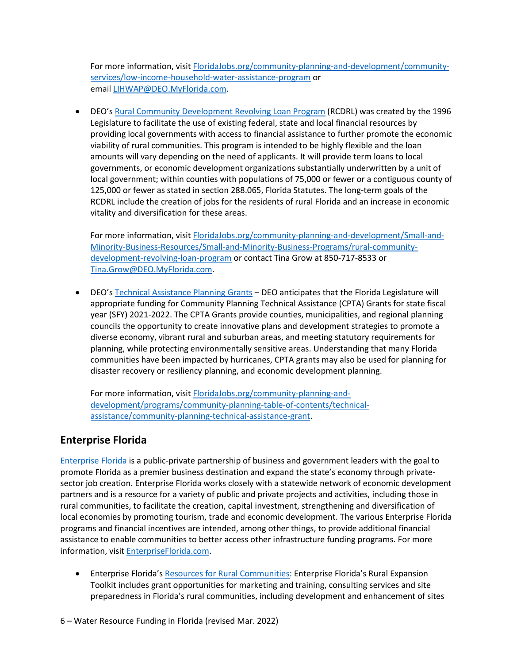For more information, visi[t FloridaJobs.org/community-planning-and-development/community](https://floridajobs.org/community-planning-and-development/community-services/low-income-household-water-assistance-program)[services/low-income-household-water-assistance-program](https://floridajobs.org/community-planning-and-development/community-services/low-income-household-water-assistance-program) or email [LIHWAP@DEO.MyFlorida.com.](mailto:LIHWAP@DEO.MyFlorida.com)

• DEO's [Rural Community Development Revolving Loan Program](https://floridajobs.org/community-planning-and-development/Small-and-Minority-Business-Resources/Small-and-Minority-Business-Programs/rural-community-development-revolving-loan-program) (RCDRL) was created by the 1996 Legislature to facilitate the use of existing federal, state and local financial resources by providing local governments with access to financial assistance to further promote the economic viability of rural communities. This program is intended to be highly flexible and the loan amounts will vary depending on the need of applicants. It will provide term loans to local governments, or economic development organizations substantially underwritten by a unit of local government; within counties with populations of 75,000 or fewer or a contiguous county of 125,000 or fewer as stated in section 288.065, Florida Statutes. The long-term goals of the RCDRL include the creation of jobs for the residents of rural Florida and an increase in economic vitality and diversification for these areas.

For more information, visi[t FloridaJobs.org/community-planning-and-development/Small-and-](https://floridajobs.org/community-planning-and-development/Small-and-Minority-Business-Resources/Small-and-Minority-Business-Programs/rural-community-development-revolving-loan-program)[Minority-Business-Resources/Small-and-Minority-Business-Programs/rural-community](https://floridajobs.org/community-planning-and-development/Small-and-Minority-Business-Resources/Small-and-Minority-Business-Programs/rural-community-development-revolving-loan-program)[development-revolving-loan-program](https://floridajobs.org/community-planning-and-development/Small-and-Minority-Business-Resources/Small-and-Minority-Business-Programs/rural-community-development-revolving-loan-program) or contact Tina Grow at 850-717-8533 or [Tina.Grow@DEO.MyFlorida.com.](mailto:Tina.Grow@DEO.MyFlorida.com)

• DEO's [Technical Assistance Planning Grants](https://floridajobs.org/community-planning-and-development/programs/community-planning-table-of-contents/technical-assistance/community-planning-technical-assistance-grant) – DEO anticipates that the Florida Legislature will appropriate funding for Community Planning Technical Assistance (CPTA) Grants for state fiscal year (SFY) 2021-2022. The CPTA Grants provide counties, municipalities, and regional planning councils the opportunity to create innovative plans and development strategies to promote a diverse economy, vibrant rural and suburban areas, and meeting statutory requirements for planning, while protecting environmentally sensitive areas. Understanding that many Florida communities have been impacted by hurricanes, CPTA grants may also be used for planning for disaster recovery or resiliency planning, and economic development planning.

For more information, visit [FloridaJobs.org/community-planning-and](https://floridajobs.org/community-planning-and-development/programs/community-planning-table-of-contents/technical-assistance/community-planning-technical-assistance-grant)[development/programs/community-planning-table-of-contents/technical](https://floridajobs.org/community-planning-and-development/programs/community-planning-table-of-contents/technical-assistance/community-planning-technical-assistance-grant)[assistance/community-planning-technical-assistance-grant.](https://floridajobs.org/community-planning-and-development/programs/community-planning-table-of-contents/technical-assistance/community-planning-technical-assistance-grant)

# **Enterprise Florida**

[Enterprise Florida](https://www.enterpriseflorida.com/about/) is a public-private partnership of business and government leaders with the goal to promote Florida as a premier business destination and expand the state's economy through privatesector job creation. Enterprise Florida works closely with a statewide network of economic development partners and is a resource for a variety of public and private projects and activities, including those in rural communities, to facilitate the creation, capital investment, strengthening and diversification of local economies by promoting tourism, trade and economic development. The various Enterprise Florida programs and financial incentives are intended, among other things, to provide additional financial assistance to enable communities to better access other infrastructure funding programs. For more information, visit [EnterpriseFlorida.com.](https://www.enterpriseflorida.com/)

• Enterprise Florida's [Resources for Rural Communities:](https://www.enterpriseflorida.com/rural/resources-rural-communities/) Enterprise Florida's Rural Expansion Toolkit includes grant opportunities for marketing and training, consulting services and site preparedness in Florida's rural communities, including development and enhancement of sites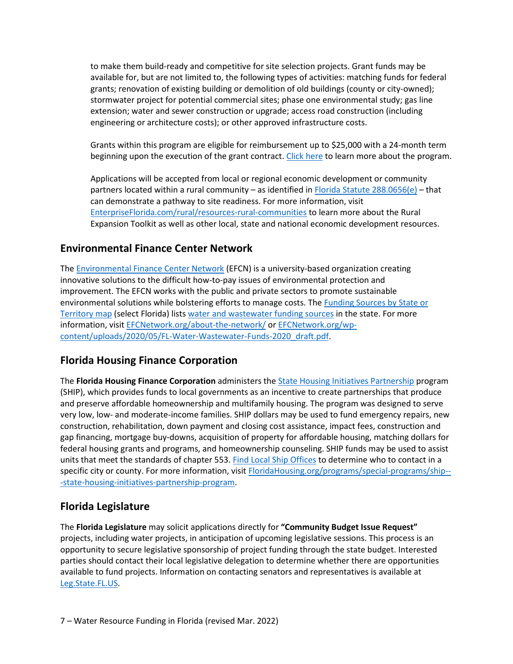to make them build-ready and competitive for site selection projects. Grant funds may be available for, but are not limited to, the following types of activities: matching funds for federal grants; renovation of existing building or demolition of old buildings (county or city-owned); stormwater project for potential commercial sites; phase one environmental study; gas line extension; water and sewer construction or upgrade; access road construction (including engineering or architecture costs); or other approved infrastructure costs.

Grants within this program are eligible for reimbursement up to \$25,000 with a 24-month term beginning upon the execution of the grant contract. [Click here](https://www.enterpriseflorida.com/wp-content/uploads/site-prepardeness-program-summary.pdf) to learn more about the program.

Applications will be accepted from local or regional economic development or community partners located within a rural community – as identified in [Florida Statute 288.0656\(e\)](http://www.leg.state.fl.us/Statutes/index.cfm?App_mode=Display_Statute&URL=0200-0299/0288/Sections/0288.0656.html) – that can demonstrate a pathway to site readiness. For more information, visit [EnterpriseFlorida.com/rural/resources-rural-communities](https://www.enterpriseflorida.com/rural/resources-rural-communities/) to learn more about the Rural Expansion Toolkit as well as other local, state and national economic development resources.

#### **Environmental Finance Center Network**

The [Environmental Finance Center Network](https://efcnetwork.org/) (EFCN) is a university-based organization creating innovative solutions to the difficult how-to-pay issues of environmental protection and improvement. The EFCN works with the public and private sectors to promote sustainable environmental solutions while bolstering efforts to manage costs. The [Funding Sources by State or](https://efcnetwork.org/funding-sources-by-state/)  [Territory map](https://efcnetwork.org/funding-sources-by-state/) (select Florida) list[s water and wastewater funding sources](https://efcnetwork.org/wp-content/uploads/2020/05/FL-Water-Wastewater-Funds-2020_draft.pdf) in the state. For more information, visit [EFCNetwork.org/about-the-network/](https://efcnetwork.org/about-the-network/) or [EFCNetwork.org/wp](https://efcnetwork.org/wp-content/uploads/2020/05/FL-Water-Wastewater-Funds-2020_draft.pdf)[content/uploads/2020/05/FL-Water-Wastewater-Funds-2020\\_draft.pdf.](https://efcnetwork.org/wp-content/uploads/2020/05/FL-Water-Wastewater-Funds-2020_draft.pdf)

#### **Florida Housing Finance Corporation**

The **Florida Housing Finance Corporation** administers the State Housing Initiatives [Partnership](https://floridahousing.org/programs/special-programs/ship---state-housing-initiatives-partnership-program) program (SHIP), which provides funds to local governments as an incentive to create partnerships that produce and preserve affordable homeownership and multifamily housing. The program was designed to serve very low, low- and moderate-income families. SHIP dollars may be used to fund emergency repairs, new construction, rehabilitation, down payment and closing cost assistance, impact fees, construction and gap financing, mortgage buy-downs, acquisition of property for affordable housing, matching dollars for federal housing grants and programs, and homeownership counseling. SHIP funds may be used to assist units that meet the standards of chapter 553. [Find Local Ship Offices](https://floridahousing.org/programs/special-programs/ship---state-housing-initiatives-partnership-program/local-government-information) to determine who to contact in a specific city or county. For more information, visit [FloridaHousing.org/programs/special-programs/ship--](https://www.floridahousing.org/programs/special-programs/ship---state-housing-initiatives-partnership-program) [-state-housing-initiatives-partnership-program.](https://www.floridahousing.org/programs/special-programs/ship---state-housing-initiatives-partnership-program)

#### **Florida Legislature**

The **Florida Legislature** may solicit applications directly for **"Community Budget Issue Request"** projects, including water projects, in anticipation of upcoming legislative sessions. This process is an opportunity to secure legislative sponsorship of project funding through the state budget. Interested parties should contact their local legislative delegation to determine whether there are opportunities available to fund projects. Information on contacting senators and representatives is available at [Leg.State.FL.US.](http://www.leg.state.fl.us/)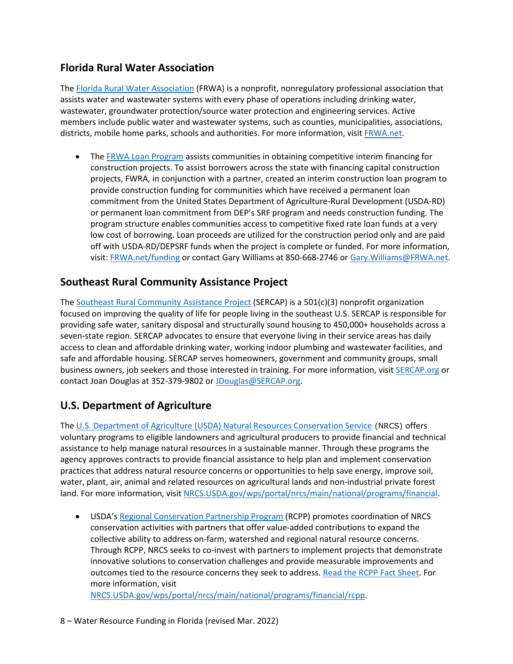### **Florida Rural Water Association**

The [Florida Rural Water Association](https://www.frwa.net/about-frwa) (FRWA) is a nonprofit, nonregulatory professional association that assists water and wastewater systems with every phase of operations including drinking water, wastewater, groundwater protection/source water protection and engineering services. Active members include public water and wastewater systems, such as counties, municipalities, associations, districts, mobile home parks, schools and authorities. For more information, visit [FRWA.net.](https://www.frwa.net/)

The [FRWA Loan Program](https://www.frwa.net/funding) assists communities in obtaining competitive interim financing for construction projects. To assist borrowers across the state with financing capital construction projects, FWRA, in conjunction with a partner, created an interim construction loan program to provide construction funding for communities which have received a permanent loan commitment from the United States Department of Agriculture-Rural Development (USDA-RD) or permanent loan commitment from DEP's SRF program and needs construction funding. The program structure enables communities access to competitive fixed rate loan funds at a very low cost of borrowing. Loan proceeds are utilized for the construction period only and are paid off with USDA-RD/DEPSRF funds when the project is complete or funded. For more information, visit[: FRWA.net/funding](https://www.frwa.net/funding) or contact Gary Williams at 850-668-2746 or [Gary.Williams@FRWA.net.](mailto:Gary.Williams@frwa.net)

#### **Southeast Rural Community Assistance Project**

The [Southeast Rural Community Assistance Project](https://sercap.org/about) (SERCAP) is a 501(c)(3) nonprofit organization focused on improving the quality of life for people living in the southeast U.S. SERCAP is responsible for providing safe water, sanitary disposal and structurally sound housing to 450,000+ households across a seven-state region. SERCAP advocates to ensure that everyone living in their service areas has daily access to clean and affordable drinking water, working indoor plumbing and wastewater facilities, and safe and affordable housing. SERCAP serves homeowners, government and community groups, small business owners, job seekers and those interested in training. For more information, visit [SERCAP.org](http://sercap.org/) or contact Joan Douglas at 352-379-9802 o[r JDouglas@SERCAP.org.](mailto:jdouglas@sercap.org)

# **U.S. Department of Agriculture**

The [U.S. Department of Agriculture \(USDA\) Natural Resources Conservation Service](https://www.nrcs.usda.gov/wps/portal/nrcs/main/national/programs/financial/) (NRCS) offers voluntary programs to eligible landowners and agricultural producers to provide financial and technical assistance to help manage natural resources in a sustainable manner. Through these programs the agency approves contracts to provide financial assistance to help plan and implement conservation practices that address natural resource concerns or opportunities to help save energy, improve soil, water, plant, air, animal and related resources on agricultural lands and non-industrial private forest land. For more information, visit [NRCS.USDA.gov/wps/portal/nrcs/main/national/programs/financial.](http://www.nrcs.usda.gov/wps/portal/nrcs/main/national/programs/financial)

USDA's [Regional Conservation Partnership Program](https://www.nrcs.usda.gov/wps/portal/nrcs/main/national/programs/financial/rcpp/) (RCPP) promotes coordination of NRCS conservation activities with partners that offer value-added contributions to expand the collective ability to address on-farm, watershed and regional natural resource concerns. Through RCPP, NRCS seeks to co-invest with partners to implement projects that demonstrate innovative solutions to conservation challenges and provide measurable improvements and outcomes tied to the resource concerns they seek to address. [Read the RCPP Fact Sheet.](https://www.nrcs.usda.gov/wps/PA_NRCSConsumption/download?cid=nrcseprd1488819&ext=pdf) For more information, visit

[NRCS.USDA.gov/wps/portal/nrcs/main/national/programs/financial/rcpp.](http://www.nrcs.usda.gov/wps/portal/nrcs/main/national/programs/financial/rcpp)

8 – Water Resource Funding in Florida (revised Mar. 2022)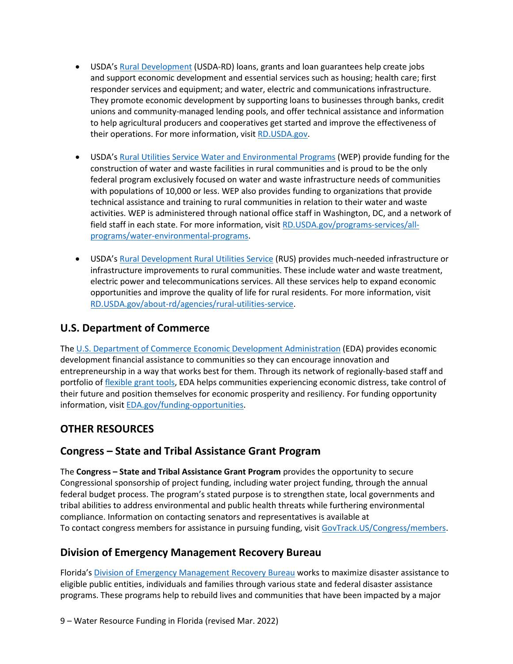- USDA's [Rural Development](https://www.rd.usda.gov/about-rd) (USDA-RD) loans, grants and loan guarantees help create jobs and support economic development and essential services such as housing; health care; first responder services and equipment; and water, electric and communications infrastructure. They promote economic development by supporting loans to businesses through banks, credit unions and community-managed lending pools, and offer technical assistance and information to help agricultural producers and cooperatives get started and improve the effectiveness of their operations. For more information, visi[t RD.USDA.gov.](https://www.rd.usda.gov/)
- USDA's [Rural Utilities Service Water and Environmental Programs](https://www.rd.usda.gov/programs-services/all-programs/water-environmental-programs) (WEP) provide funding for the construction of water and waste facilities in rural communities and is proud to be the only federal program exclusively focused on water and waste infrastructure needs of communities with populations of 10,000 or less. WEP also provides funding to organizations that provide technical assistance and training to rural communities in relation to their water and waste activities. WEP is administered through national office staff in Washington, DC, and a network of field staff in each state. For more information, visit [RD.USDA.gov/programs-services/all](https://www.rd.usda.gov/programs-services/all-programs/water-environmental-programs)[programs/water-environmental-programs.](https://www.rd.usda.gov/programs-services/all-programs/water-environmental-programs)
- USDA's [Rural Development Rural Utilities Service](https://www.rd.usda.gov/about-rd/agencies/rural-utilities-service) (RUS) provides much-needed infrastructure or infrastructure improvements to rural communities. These include water and waste treatment, electric power and telecommunications services. All these services help to expand economic opportunities and improve the quality of life for rural residents. For more information, visit [RD.USDA.gov/about-rd/agencies/rural-utilities-service.](https://www.rd.usda.gov/about-rd/agencies/rural-utilities-service)

#### **U.S. Department of Commerce**

The [U.S. Department of Commerce Economic Development Administration](https://eda.gov/about/) (EDA) provides economic development financial assistance to communities so they can encourage innovation and entrepreneurship in a way that works best for them. Through its network of regionally-based staff and portfolio of [flexible grant tools,](https://eda.gov/programs/eda-programs/) EDA helps communities experiencing economic distress, take control of their future and position themselves for economic prosperity and resiliency. For funding opportunity information, visit [EDA.gov/funding-opportunities.](https://www.eda.gov/funding-opportunities/)

#### **OTHER RESOURCES**

#### **Congress – State and Tribal Assistance Grant Program**

The **Congress – State and Tribal Assistance Grant Program** provides the opportunity to secure Congressional sponsorship of project funding, including water project funding, through the annual federal budget process. The program's stated purpose is to strengthen state, local governments and tribal abilities to address environmental and public health threats while furthering environmental compliance. Information on contacting senators and representatives is available at To contact congress members for assistance in pursuing funding, visit [GovTrack.US/Congress/members.](http://www.govtrack.us/congress/members)

#### **Division of Emergency Management Recovery Bureau**

Florida's [Division of Emergency Management Recovery Bureau](https://www.floridadisaster.org/dem/recovery/) works to maximize disaster assistance to eligible public entities, individuals and families through various state and federal disaster assistance programs. These programs help to rebuild lives and communities that have been impacted by a major